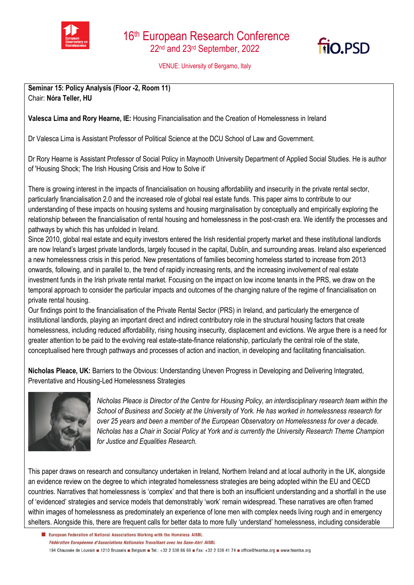



VENUE: University of Bergamo, Italy

**Seminar 15: Policy Analysis (Floor -2, Room 11)** Chair: **Nóra Teller, HU** 

**Valesca Lima and Rory Hearne, IE:** Housing Financialisation and the Creation of Homelessness in Ireland

Dr Valesca Lima is Assistant Professor of Political Science at the DCU School of Law and Government.

Dr Rory Hearne is Assistant Professor of Social Policy in Maynooth University Department of Applied Social Studies. He is author of 'Housing Shock; The Irish Housing Crisis and How to Solve it'

There is growing interest in the impacts of financialisation on housing affordability and insecurity in the private rental sector, particularly financialisation 2.0 and the increased role of global real estate funds. This paper aims to contribute to our understanding of these impacts on housing systems and housing marginalisation by conceptually and empirically exploring the relationship between the financialisation of rental housing and homelessness in the post-crash era. We identify the processes and pathways by which this has unfolded in Ireland.

Since 2010, global real estate and equity investors entered the Irish residential property market and these institutional landlords are now Ireland's largest private landlords, largely focused in the capital, Dublin, and surrounding areas. Ireland also experienced a new homelessness crisis in this period. New presentations of families becoming homeless started to increase from 2013 onwards, following, and in parallel to, the trend of rapidly increasing rents, and the increasing involvement of real estate investment funds in the Irish private rental market. Focusing on the impact on low income tenants in the PRS, we draw on the temporal approach to consider the particular impacts and outcomes of the changing nature of the regime of financialisation on private rental housing.

Our findings point to the financialisation of the Private Rental Sector (PRS) in Ireland, and particularly the emergence of institutional landlords, playing an important direct and indirect contributory role in the structural housing factors that create homelessness, including reduced affordability, rising housing insecurity, displacement and evictions. We argue there is a need for greater attention to be paid to the evolving real estate-state-finance relationship, particularly the central role of the state, conceptualised here through pathways and processes of action and inaction, in developing and facilitating financialisation.

**Nicholas Pleace, UK:** Barriers to the Obvious: Understanding Uneven Progress in Developing and Delivering Integrated, Preventative and Housing-Led Homelessness Strategies



*Nicholas Pleace is Director of the Centre for Housing Policy, an interdisciplinary research team within the School of Business and Society at the University of York. He has worked in homelessness research for over 25 years and been a member of the European Observatory on Homelessness for over a decade. Nicholas has a Chair in Social Policy at York and is currently the University Research Theme Champion for Justice and Equalities Research.*

This paper draws on research and consultancy undertaken in Ireland, Northern Ireland and at local authority in the UK, alongside an evidence review on the degree to which integrated homelessness strategies are being adopted within the EU and OECD countries. Narratives that homelessness is 'complex' and that there is both an insufficient understanding and a shortfall in the use of 'evidenced' strategies and service models that demonstrably 'work' remain widespread. These narratives are often framed within images of homelessness as predominately an experience of lone men with complex needs living rough and in emergency shelters. Alongside this, there are frequent calls for better data to more fully 'understand' homelessness, including considerable

El European Federation of National Associations Working with the Homeless AISBL Fédération Européenne d'Associations Nationales Travaillant avec les Sans-Abri AISBL 194 Chaussée de Louvain 1210 Brussels Belgium B Tel.: +32 2 538 66 69 B Fax: +32 2 539 41 74 B office@feantsa.org B www.feantsa.org